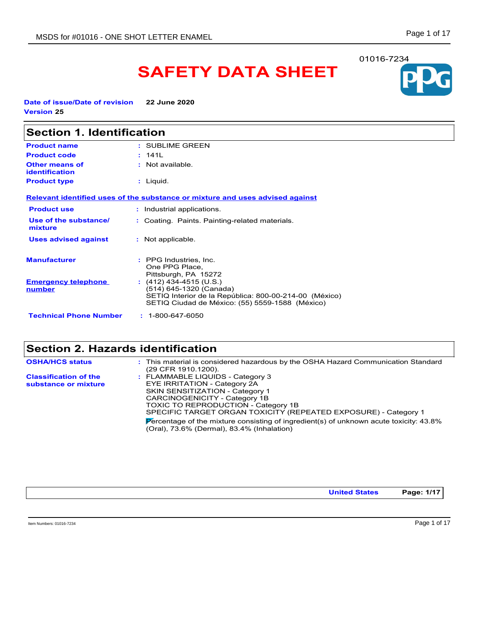# **SAFETY DATA SHEET**

**Date of issue/Date of revision 22 June 2020 Version 25**

| <b>Section 1. Identification</b>        |                                                                                                                                                                 |  |
|-----------------------------------------|-----------------------------------------------------------------------------------------------------------------------------------------------------------------|--|
| <b>Product name</b>                     | : SUBLIME GREEN                                                                                                                                                 |  |
| <b>Product code</b>                     | : 141L                                                                                                                                                          |  |
| <b>Other means of</b><br>identification | : Not available.                                                                                                                                                |  |
| <b>Product type</b>                     | : Liquid.                                                                                                                                                       |  |
|                                         | Relevant identified uses of the substance or mixture and uses advised against                                                                                   |  |
| <b>Product use</b>                      | : Industrial applications.                                                                                                                                      |  |
| Use of the substance/<br>mixture        | : Coating. Paints. Painting-related materials.                                                                                                                  |  |
| <b>Uses advised against</b>             | : Not applicable.                                                                                                                                               |  |
| <b>Manufacturer</b>                     | : PPG Industries, Inc.<br>One PPG Place,<br>Pittsburgh, PA 15272                                                                                                |  |
| <b>Emergency telephone</b><br>number    | $(412)$ 434-4515 (U.S.)<br>(514) 645-1320 (Canada)<br>SETIQ Interior de la República: 800-00-214-00 (México)<br>SETIQ Ciudad de México: (55) 5559-1588 (México) |  |
| <b>Technical Phone Number</b>           | $: 1 - 800 - 647 - 6050$                                                                                                                                        |  |

## **Section 2. Hazards identification**

| <b>OSHA/HCS status</b>                               | : This material is considered hazardous by the OSHA Hazard Communication Standard<br>(29 CFR 1910 1200).                                                                                                                                                                                                                                                                                         |
|------------------------------------------------------|--------------------------------------------------------------------------------------------------------------------------------------------------------------------------------------------------------------------------------------------------------------------------------------------------------------------------------------------------------------------------------------------------|
| <b>Classification of the</b><br>substance or mixture | : FLAMMABLE LIQUIDS - Category 3<br>EYE IRRITATION - Category 2A<br>SKIN SENSITIZATION - Category 1<br>CARCINOGENICITY - Category 1B<br><b>TOXIC TO REPRODUCTION - Category 1B</b><br>SPECIFIC TARGET ORGAN TOXICITY (REPEATED EXPOSURE) - Category 1<br>Percentage of the mixture consisting of ingredient(s) of unknown acute toxicity: $43.8\%$<br>(Oral), 73.6% (Dermal), 83.4% (Inhalation) |

**United States Page: 1/17**

Item Numbers: 01016-7234 Page 1 of 17

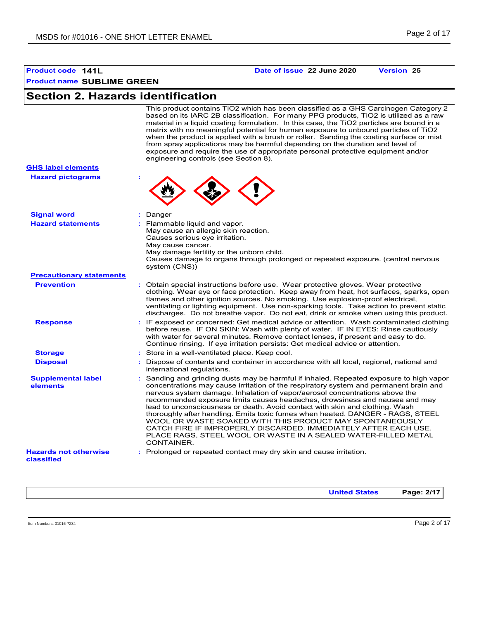### **Product name SUBLIME GREEN Product code 141L Date of issue 22 June 2020 Version 25**

## **Section 2. Hazards identification**

This product contains TiO2 which has been classified as a GHS Carcinogen Category 2 based on its IARC 2B classification. For many PPG products, TiO2 is utilized as a raw material in a liquid coating formulation. In this case, the TiO2 particles are bound in a matrix with no meaningful potential for human exposure to unbound particles of TiO2 when the product is applied with a brush or roller. Sanding the coating surface or mist from spray applications may be harmful depending on the duration and level of exposure and require the use of appropriate personal protective equipment and/or engineering controls (see Section 8).

| <b>GHS label elements</b> |  |
|---------------------------|--|
| <b>Hazard pictograms</b>  |  |



| <b>Signal word</b>                         | : Danger                                                                                                                                                                                                                                                                                                                                                                                                                                                                                                                                                                                                                                                                                                                        |
|--------------------------------------------|---------------------------------------------------------------------------------------------------------------------------------------------------------------------------------------------------------------------------------------------------------------------------------------------------------------------------------------------------------------------------------------------------------------------------------------------------------------------------------------------------------------------------------------------------------------------------------------------------------------------------------------------------------------------------------------------------------------------------------|
| <b>Hazard statements</b>                   | : Flammable liquid and vapor.<br>May cause an allergic skin reaction.<br>Causes serious eye irritation.<br>May cause cancer.<br>May damage fertility or the unborn child.<br>Causes damage to organs through prolonged or repeated exposure. (central nervous<br>system (CNS))                                                                                                                                                                                                                                                                                                                                                                                                                                                  |
| <b>Precautionary statements</b>            |                                                                                                                                                                                                                                                                                                                                                                                                                                                                                                                                                                                                                                                                                                                                 |
| <b>Prevention</b>                          | : Obtain special instructions before use. Wear protective gloves. Wear protective<br>clothing. Wear eye or face protection. Keep away from heat, hot surfaces, sparks, open<br>flames and other ignition sources. No smoking. Use explosion-proof electrical,<br>ventilating or lighting equipment. Use non-sparking tools. Take action to prevent static<br>discharges. Do not breathe vapor. Do not eat, drink or smoke when using this product.                                                                                                                                                                                                                                                                              |
| <b>Response</b>                            | : IF exposed or concerned: Get medical advice or attention. Wash contaminated clothing<br>before reuse. IF ON SKIN: Wash with plenty of water. IF IN EYES: Rinse cautiously<br>with water for several minutes. Remove contact lenses, if present and easy to do.<br>Continue rinsing. If eye irritation persists: Get medical advice or attention.                                                                                                                                                                                                                                                                                                                                                                              |
| <b>Storage</b>                             | : Store in a well-ventilated place. Keep cool.                                                                                                                                                                                                                                                                                                                                                                                                                                                                                                                                                                                                                                                                                  |
| <b>Disposal</b>                            | : Dispose of contents and container in accordance with all local, regional, national and<br>international regulations.                                                                                                                                                                                                                                                                                                                                                                                                                                                                                                                                                                                                          |
| <b>Supplemental label</b><br>elements      | : Sanding and grinding dusts may be harmful if inhaled. Repeated exposure to high vapor<br>concentrations may cause irritation of the respiratory system and permanent brain and<br>nervous system damage. Inhalation of vapor/aerosol concentrations above the<br>recommended exposure limits causes headaches, drowsiness and nausea and may<br>lead to unconsciousness or death. Avoid contact with skin and clothing. Wash<br>thoroughly after handling. Emits toxic fumes when heated. DANGER - RAGS, STEEL<br>WOOL OR WASTE SOAKED WITH THIS PRODUCT MAY SPONTANEOUSLY<br>CATCH FIRE IF IMPROPERLY DISCARDED. IMMEDIATELY AFTER EACH USE,<br>PLACE RAGS, STEEL WOOL OR WASTE IN A SEALED WATER-FILLED METAL<br>CONTAINER. |
| <b>Hazards not otherwise</b><br>classified | : Prolonged or repeated contact may dry skin and cause irritation.                                                                                                                                                                                                                                                                                                                                                                                                                                                                                                                                                                                                                                                              |

**United States Page: 2/17**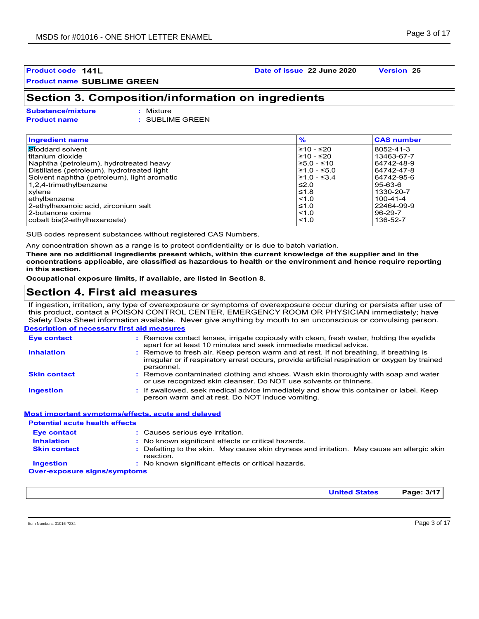#### **Product code 141L Date of issue 22 June 2020 Version 25**

### **Section 3. Composition/information on ingredients**

**Substance/mixture :**

: Mixture **Product name :** SUBLIME GREEN

| <b>Ingredient name</b>                      | $\frac{9}{6}$ | <b>CAS number</b> |
|---------------------------------------------|---------------|-------------------|
| l <mark>St</mark> oddard solvent            | $≥10 - ≤20$   | 8052-41-3         |
| titanium dioxide                            | $≥10 - ≤20$   | 13463-67-7        |
| Naphtha (petroleum), hydrotreated heavy     | ≥5.0 - ≤10    | 64742-48-9        |
| Distillates (petroleum), hydrotreated light | $≥1.0 - ≤5.0$ | 64742-47-8        |
| Solvent naphtha (petroleum), light aromatic | $≥1.0 - ≤3.4$ | 64742-95-6        |
| 1,2,4-trimethylbenzene                      | ≤2.0          | 95-63-6           |
| xylene                                      | $≤1.8$        | 1330-20-7         |
| ethylbenzene                                | < 1.0         | 100-41-4          |
| 2-ethylhexanoic acid, zirconium salt        | $\leq 1.0$    | 22464-99-9        |
| 2-butanone oxime                            | < 1.0         | $96 - 29 - 7$     |
| cobalt bis(2-ethylhexanoate)                | < 1.0         | 136-52-7          |

SUB codes represent substances without registered CAS Numbers.

Any concentration shown as a range is to protect confidentiality or is due to batch variation.

**There are no additional ingredients present which, within the current knowledge of the supplier and in the concentrations applicable, are classified as hazardous to health or the environment and hence require reporting in this section.**

**Occupational exposure limits, if available, are listed in Section 8.**

### **Section 4. First aid measures**

**Description of necessary first aid measures** If ingestion, irritation, any type of overexposure or symptoms of overexposure occur during or persists after use of this product, contact a POISON CONTROL CENTER, EMERGENCY ROOM OR PHYSICIAN immediately; have Safety Data Sheet information available. Never give anything by mouth to an unconscious or convulsing person.

| <b>Eye contact</b>  | : Remove contact lenses, irrigate copiously with clean, fresh water, holding the eyelids<br>apart for at least 10 minutes and seek immediate medical advice.                                           |
|---------------------|--------------------------------------------------------------------------------------------------------------------------------------------------------------------------------------------------------|
| <b>Inhalation</b>   | : Remove to fresh air. Keep person warm and at rest. If not breathing, if breathing is<br>irregular or if respiratory arrest occurs, provide artificial respiration or oxygen by trained<br>personnel. |
| <b>Skin contact</b> | : Remove contaminated clothing and shoes. Wash skin thoroughly with soap and water<br>or use recognized skin cleanser. Do NOT use solvents or thinners.                                                |
| <b>Ingestion</b>    | : If swallowed, seek medical advice immediately and show this container or label. Keep<br>person warm and at rest. Do NOT induce vomiting.                                                             |

**Most important symptoms/effects, acute and delayed**

| <b>Potential acute health effects</b> |                                                                                                         |
|---------------------------------------|---------------------------------------------------------------------------------------------------------|
| Eye contact                           | : Causes serious eye irritation.                                                                        |
| <b>Inhalation</b>                     | : No known significant effects or critical hazards.                                                     |
| <b>Skin contact</b>                   | : Defatting to the skin. May cause skin dryness and irritation. May cause an allergic skin<br>reaction. |
| <b>Ingestion</b>                      | : No known significant effects or critical hazards.                                                     |
| <b>Over-exposure signs/symptoms</b>   |                                                                                                         |

Item Numbers: 01016-7234 Page 3 of 17

**United States Page: 3/17**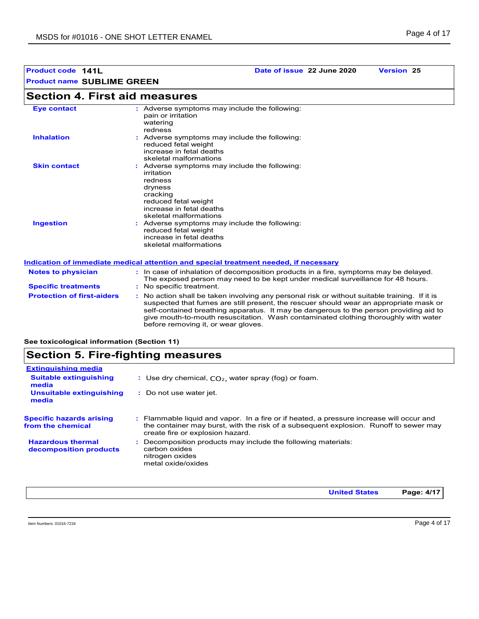### **Section 4. First aid measures**

| <b>Eye contact</b>  | : Adverse symptoms may include the following:<br>pain or irritation<br>watering<br>redness                                                                                  |
|---------------------|-----------------------------------------------------------------------------------------------------------------------------------------------------------------------------|
| <b>Inhalation</b>   | : Adverse symptoms may include the following:<br>reduced fetal weight<br>increase in fetal deaths<br>skeletal malformations                                                 |
| <b>Skin contact</b> | : Adverse symptoms may include the following:<br>irritation<br>redness<br>dryness<br>cracking<br>reduced fetal weight<br>increase in fetal deaths<br>skeletal malformations |
| <b>Ingestion</b>    | : Adverse symptoms may include the following:<br>reduced fetal weight<br>increase in fetal deaths<br>skeletal malformations                                                 |

#### **Indication of immediate medical attention and special treatment needed, if necessary**

| <b>Notes to physician</b><br><b>Specific treatments</b> | : In case of inhalation of decomposition products in a fire, symptoms may be delayed.<br>The exposed person may need to be kept under medical surveillance for 48 hours.<br>: No specific treatment.                                                                                                                                                                                                            |
|---------------------------------------------------------|-----------------------------------------------------------------------------------------------------------------------------------------------------------------------------------------------------------------------------------------------------------------------------------------------------------------------------------------------------------------------------------------------------------------|
| <b>Protection of first-aiders</b>                       | : No action shall be taken involving any personal risk or without suitable training. If it is<br>suspected that fumes are still present, the rescuer should wear an appropriate mask or<br>self-contained breathing apparatus. It may be dangerous to the person providing aid to<br>give mouth-to-mouth resuscitation. Wash contaminated clothing thoroughly with water<br>before removing it, or wear gloves. |

**See toxicological information (Section 11)**

### **Section 5. Fire-fighting measures**

| <b>Extinguishing media</b>                           |                                                                                                                                                                                                                       |
|------------------------------------------------------|-----------------------------------------------------------------------------------------------------------------------------------------------------------------------------------------------------------------------|
| <b>Suitable extinguishing</b><br>media               | : Use dry chemical, $CO2$ , water spray (fog) or foam.                                                                                                                                                                |
| Unsuitable extinguishing<br>media                    | : Do not use water jet.                                                                                                                                                                                               |
| <b>Specific hazards arising</b><br>from the chemical | : Flammable liquid and vapor. In a fire or if heated, a pressure increase will occur and<br>the container may burst, with the risk of a subsequent explosion. Runoff to sewer may<br>create fire or explosion hazard. |
| <b>Hazardous thermal</b><br>decomposition products   | Decomposition products may include the following materials:<br>carbon oxides<br>nitrogen oxides<br>metal oxide/oxides                                                                                                 |
|                                                      |                                                                                                                                                                                                                       |

**United States Page: 4/17**

Item Numbers: 01016-7234 Page 4 of 17

**Product code 141L Date of issue 22 June 2020 Version 25**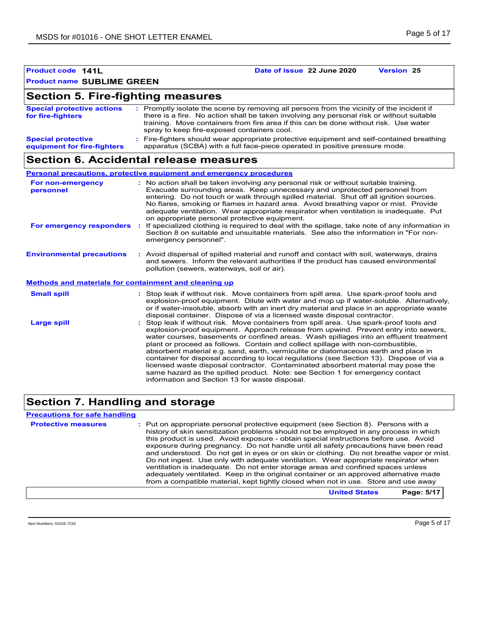| Product code 141L                                        | Date of issue 22 June 2020<br><b>Version 25</b>                                                                                                                                                                                                                                                                                                                                                                                                                                                                                                                                                                                                                                                                                                                      |
|----------------------------------------------------------|----------------------------------------------------------------------------------------------------------------------------------------------------------------------------------------------------------------------------------------------------------------------------------------------------------------------------------------------------------------------------------------------------------------------------------------------------------------------------------------------------------------------------------------------------------------------------------------------------------------------------------------------------------------------------------------------------------------------------------------------------------------------|
| <b>Product name SUBLIME GREEN</b>                        |                                                                                                                                                                                                                                                                                                                                                                                                                                                                                                                                                                                                                                                                                                                                                                      |
| <b>Section 5. Fire-fighting measures</b>                 |                                                                                                                                                                                                                                                                                                                                                                                                                                                                                                                                                                                                                                                                                                                                                                      |
| <b>Special protective actions</b><br>for fire-fighters   | : Promptly isolate the scene by removing all persons from the vicinity of the incident if<br>there is a fire. No action shall be taken involving any personal risk or without suitable<br>training. Move containers from fire area if this can be done without risk. Use water<br>spray to keep fire-exposed containers cool.                                                                                                                                                                                                                                                                                                                                                                                                                                        |
| <b>Special protective</b><br>equipment for fire-fighters | : Fire-fighters should wear appropriate protective equipment and self-contained breathing<br>apparatus (SCBA) with a full face-piece operated in positive pressure mode.                                                                                                                                                                                                                                                                                                                                                                                                                                                                                                                                                                                             |
|                                                          | Section 6. Accidental release measures                                                                                                                                                                                                                                                                                                                                                                                                                                                                                                                                                                                                                                                                                                                               |
|                                                          | <b>Personal precautions, protective equipment and emergency procedures</b>                                                                                                                                                                                                                                                                                                                                                                                                                                                                                                                                                                                                                                                                                           |
| For non-emergency<br>personnel                           | : No action shall be taken involving any personal risk or without suitable training.<br>Evacuate surrounding areas. Keep unnecessary and unprotected personnel from<br>entering. Do not touch or walk through spilled material. Shut off all ignition sources.<br>No flares, smoking or flames in hazard area. Avoid breathing vapor or mist. Provide<br>adequate ventilation. Wear appropriate respirator when ventilation is inadequate. Put<br>on appropriate personal protective equipment.                                                                                                                                                                                                                                                                      |
| For emergency responders                                 | : If specialized clothing is required to deal with the spillage, take note of any information in<br>Section 8 on suitable and unsuitable materials. See also the information in "For non-<br>emergency personnel".                                                                                                                                                                                                                                                                                                                                                                                                                                                                                                                                                   |
| <b>Environmental precautions</b>                         | : Avoid dispersal of spilled material and runoff and contact with soil, waterways, drains<br>and sewers. Inform the relevant authorities if the product has caused environmental<br>pollution (sewers, waterways, soil or air).                                                                                                                                                                                                                                                                                                                                                                                                                                                                                                                                      |
| Methods and materials for containment and cleaning up    |                                                                                                                                                                                                                                                                                                                                                                                                                                                                                                                                                                                                                                                                                                                                                                      |
| <b>Small spill</b>                                       | : Stop leak if without risk. Move containers from spill area. Use spark-proof tools and<br>explosion-proof equipment. Dilute with water and mop up if water-soluble. Alternatively,<br>or if water-insoluble, absorb with an inert dry material and place in an appropriate waste<br>disposal container. Dispose of via a licensed waste disposal contractor.                                                                                                                                                                                                                                                                                                                                                                                                        |
| <b>Large spill</b>                                       | : Stop leak if without risk. Move containers from spill area. Use spark-proof tools and<br>explosion-proof equipment. Approach release from upwind. Prevent entry into sewers,<br>water courses, basements or confined areas. Wash spillages into an effluent treatment<br>plant or proceed as follows. Contain and collect spillage with non-combustible,<br>absorbent material e.g. sand, earth, vermiculite or diatomaceous earth and place in<br>container for disposal according to local regulations (see Section 13). Dispose of via a<br>licensed waste disposal contractor. Contaminated absorbent material may pose the<br>same hazard as the spilled product. Note: see Section 1 for emergency contact<br>information and Section 13 for waste disposal. |

### **Section 7. Handling and storage**

#### **Precautions for safe handling**

**Protective measures** : Put on appropriate personal protective equipment (see Section 8). Persons with a **Protestion** history of skin sensitization problems should not be employed in any process in which this product is used. Avoid exposure - obtain special instructions before use. Avoid exposure during pregnancy. Do not handle until all safety precautions have been read and understood. Do not get in eyes or on skin or clothing. Do not breathe vapor or mist. Do not ingest. Use only with adequate ventilation. Wear appropriate respirator when ventilation is inadequate. Do not enter storage areas and confined spaces unless adequately ventilated. Keep in the original container or an approved alternative made from a compatible material, kept tightly closed when not in use. Store and use away

**United States Page: 5/17**

Item Numbers: 01016-7234 Page 5 of 17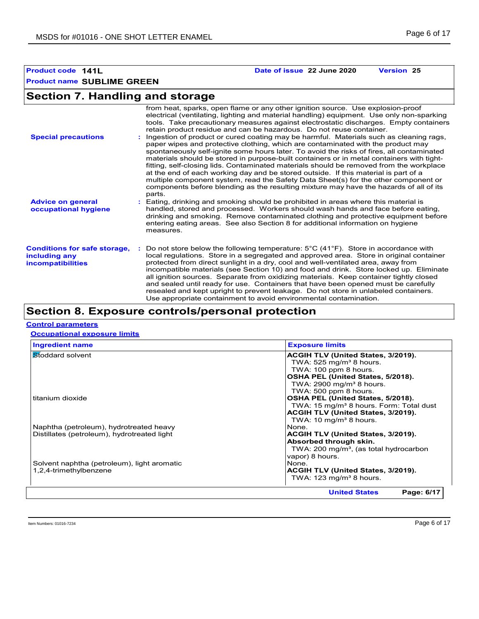### **Section 7. Handling and storage**

| <b>Special precautions</b>                                                       | from heat, sparks, open flame or any other ignition source. Use explosion-proof<br>electrical (ventilating, lighting and material handling) equipment. Use only non-sparking<br>tools. Take precautionary measures against electrostatic discharges. Empty containers<br>retain product residue and can be hazardous. Do not reuse container.<br>: Ingestion of product or cured coating may be harmful. Materials such as cleaning rags,<br>paper wipes and protective clothing, which are contaminated with the product may<br>spontaneously self-ignite some hours later. To avoid the risks of fires, all contaminated<br>materials should be stored in purpose-built containers or in metal containers with tight-<br>fitting, self-closing lids. Contaminated materials should be removed from the workplace<br>at the end of each working day and be stored outside. If this material is part of a<br>multiple component system, read the Safety Data Sheet(s) for the other component or<br>components before blending as the resulting mixture may have the hazards of all of its<br>parts. |
|----------------------------------------------------------------------------------|------------------------------------------------------------------------------------------------------------------------------------------------------------------------------------------------------------------------------------------------------------------------------------------------------------------------------------------------------------------------------------------------------------------------------------------------------------------------------------------------------------------------------------------------------------------------------------------------------------------------------------------------------------------------------------------------------------------------------------------------------------------------------------------------------------------------------------------------------------------------------------------------------------------------------------------------------------------------------------------------------------------------------------------------------------------------------------------------------|
| <b>Advice on general</b><br>occupational hygiene                                 | : Eating, drinking and smoking should be prohibited in areas where this material is<br>handled, stored and processed. Workers should wash hands and face before eating,<br>drinking and smoking. Remove contaminated clothing and protective equipment before<br>entering eating areas. See also Section 8 for additional information on hygiene<br>measures.                                                                                                                                                                                                                                                                                                                                                                                                                                                                                                                                                                                                                                                                                                                                        |
| <b>Conditions for safe storage,</b><br>including any<br><b>incompatibilities</b> | Do not store below the following temperature: $5^{\circ}$ C (41 <sup>o</sup> F). Store in accordance with<br>local regulations. Store in a segregated and approved area. Store in original container<br>protected from direct sunlight in a dry, cool and well-ventilated area, away from<br>incompatible materials (see Section 10) and food and drink. Store locked up. Eliminate<br>all ignition sources. Separate from oxidizing materials. Keep container tightly closed<br>and sealed until ready for use. Containers that have been opened must be carefully<br>resealed and kept upright to prevent leakage. Do not store in unlabeled containers.<br>Use appropriate containment to avoid environmental contamination.                                                                                                                                                                                                                                                                                                                                                                      |

### **Section 8. Exposure controls/personal protection**

#### **Control parameters**

**Occupational exposure limits**

|                                             | <b>Exposure limits</b>                              |  |  |  |  |
|---------------------------------------------|-----------------------------------------------------|--|--|--|--|
| Stoddard solvent                            | ACGIH TLV (United States, 3/2019).                  |  |  |  |  |
|                                             | TWA: $525 \text{ mg/m}^3$ 8 hours.                  |  |  |  |  |
|                                             | TWA: 100 ppm 8 hours.                               |  |  |  |  |
|                                             | OSHA PEL (United States, 5/2018).                   |  |  |  |  |
|                                             | TWA: $2900 \text{ mg/m}^3$ 8 hours.                 |  |  |  |  |
|                                             | TWA: 500 ppm 8 hours.                               |  |  |  |  |
| titanium dioxide                            | OSHA PEL (United States, 5/2018).                   |  |  |  |  |
|                                             | TWA: 15 mg/m <sup>3</sup> 8 hours. Form: Total dust |  |  |  |  |
|                                             | ACGIH TLV (United States, 3/2019).                  |  |  |  |  |
|                                             | TWA: $10 \text{ mg/m}^3$ 8 hours.                   |  |  |  |  |
| Naphtha (petroleum), hydrotreated heavy     | None.                                               |  |  |  |  |
| Distillates (petroleum), hydrotreated light | ACGIH TLV (United States, 3/2019).                  |  |  |  |  |
|                                             | Absorbed through skin.                              |  |  |  |  |
|                                             | TWA: 200 mg/m <sup>3</sup> , (as total hydrocarbon  |  |  |  |  |
|                                             | vapor) 8 hours.                                     |  |  |  |  |
| Solvent naphtha (petroleum), light aromatic | None.                                               |  |  |  |  |
| 1,2,4-trimethylbenzene                      | ACGIH TLV (United States, 3/2019).                  |  |  |  |  |
|                                             | TWA: $123 \text{ mg/m}^3$ 8 hours.                  |  |  |  |  |
|                                             | <b>United States</b><br>Page: 6/17                  |  |  |  |  |

**Product code 141L Date of issue 22 June 2020 Version 25**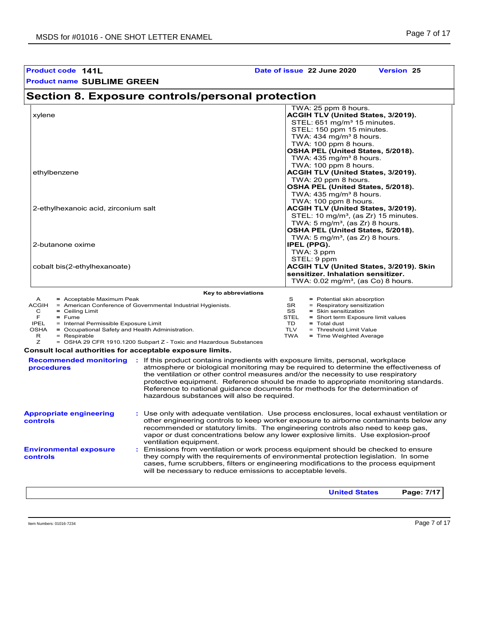| <b>Product code 141L</b>                                                                                                                                                                                                                                                                                                                                                                                                  | Date of issue 22 June 2020<br><b>Version 25</b>                                                                                                                                                                                                                                                                                                                                                                                                                                                                                                                                                                                 |
|---------------------------------------------------------------------------------------------------------------------------------------------------------------------------------------------------------------------------------------------------------------------------------------------------------------------------------------------------------------------------------------------------------------------------|---------------------------------------------------------------------------------------------------------------------------------------------------------------------------------------------------------------------------------------------------------------------------------------------------------------------------------------------------------------------------------------------------------------------------------------------------------------------------------------------------------------------------------------------------------------------------------------------------------------------------------|
| <b>Product name SUBLIME GREEN</b>                                                                                                                                                                                                                                                                                                                                                                                         |                                                                                                                                                                                                                                                                                                                                                                                                                                                                                                                                                                                                                                 |
| Section 8. Exposure controls/personal protection                                                                                                                                                                                                                                                                                                                                                                          |                                                                                                                                                                                                                                                                                                                                                                                                                                                                                                                                                                                                                                 |
| xylene                                                                                                                                                                                                                                                                                                                                                                                                                    | TWA: 25 ppm 8 hours.<br>ACGIH TLV (United States, 3/2019).<br>STEL: 651 mg/m <sup>3</sup> 15 minutes.<br>STEL: 150 ppm 15 minutes.<br>TWA: 434 mg/m <sup>3</sup> 8 hours.<br>TWA: 100 ppm 8 hours.<br>OSHA PEL (United States, 5/2018).<br>TWA: 435 mg/m <sup>3</sup> 8 hours.<br>TWA: 100 ppm 8 hours.                                                                                                                                                                                                                                                                                                                         |
| ethylbenzene                                                                                                                                                                                                                                                                                                                                                                                                              | ACGIH TLV (United States, 3/2019).<br>TWA: 20 ppm 8 hours.<br>OSHA PEL (United States, 5/2018).<br>TWA: $435 \text{ mg/m}^3$ 8 hours.<br>TWA: 100 ppm 8 hours.                                                                                                                                                                                                                                                                                                                                                                                                                                                                  |
| 2-ethylhexanoic acid, zirconium salt                                                                                                                                                                                                                                                                                                                                                                                      | ACGIH TLV (United States, 3/2019).<br>STEL: 10 mg/m <sup>3</sup> , (as Zr) 15 minutes.<br>TWA: 5 mg/m <sup>3</sup> , (as Zr) 8 hours.<br>OSHA PEL (United States, 5/2018).<br>TWA: $5 \text{ mg/m}^3$ , (as Zr) 8 hours.                                                                                                                                                                                                                                                                                                                                                                                                        |
| 2-butanone oxime                                                                                                                                                                                                                                                                                                                                                                                                          | <b>IPEL (PPG).</b><br>TWA: 3 ppm<br>STEL: 9 ppm                                                                                                                                                                                                                                                                                                                                                                                                                                                                                                                                                                                 |
| cobalt bis(2-ethylhexanoate)                                                                                                                                                                                                                                                                                                                                                                                              | ACGIH TLV (United States, 3/2019). Skin<br>sensitizer. Inhalation sensitizer.<br>TWA: $0.02$ mg/m <sup>3</sup> , (as Co) 8 hours.                                                                                                                                                                                                                                                                                                                                                                                                                                                                                               |
| Key to abbreviations                                                                                                                                                                                                                                                                                                                                                                                                      |                                                                                                                                                                                                                                                                                                                                                                                                                                                                                                                                                                                                                                 |
| = Acceptable Maximum Peak<br>A<br>ACGIH = American Conference of Governmental Industrial Hygienists.<br>C<br>$=$ Ceiling Limit<br>F.<br>$=$ Fume<br>IPEL<br>= Internal Permissible Exposure Limit<br>OSHA = Occupational Safety and Health Administration.<br>R<br>$=$ Respirable<br>z<br>= OSHA 29 CFR 1910.1200 Subpart Z - Toxic and Hazardous Substances<br>Consult local authorities for acceptable exposure limits. | S<br>= Potential skin absorption<br>SR<br>= Respiratory sensitization<br>SS<br>= Skin sensitization<br>STEL<br>= Short term Exposure limit values<br>TD.<br>= Total dust<br><b>TLV</b><br>= Threshold Limit Value<br><b>TWA</b><br>= Time Weighted Average                                                                                                                                                                                                                                                                                                                                                                      |
| <b>Recommended monitoring : If this product contains ingredients with exposure limits, personal, workplace</b><br>procedures<br>hazardous substances will also be required.                                                                                                                                                                                                                                               | atmosphere or biological monitoring may be required to determine the effectiveness of<br>the ventilation or other control measures and/or the necessity to use respiratory<br>protective equipment. Reference should be made to appropriate monitoring standards.<br>Reference to national guidance documents for methods for the determination of                                                                                                                                                                                                                                                                              |
| <b>Appropriate engineering</b><br>controls<br>ventilation equipment.<br><b>Environmental exposure</b><br>controls<br>will be necessary to reduce emissions to acceptable levels.                                                                                                                                                                                                                                          | : Use only with adequate ventilation. Use process enclosures, local exhaust ventilation or<br>other engineering controls to keep worker exposure to airborne contaminants below any<br>recommended or statutory limits. The engineering controls also need to keep gas,<br>vapor or dust concentrations below any lower explosive limits. Use explosion-proof<br>Emissions from ventilation or work process equipment should be checked to ensure<br>they comply with the requirements of environmental protection legislation. In some<br>cases, fume scrubbers, filters or engineering modifications to the process equipment |
|                                                                                                                                                                                                                                                                                                                                                                                                                           | Page: 7/17<br><b>United States</b>                                                                                                                                                                                                                                                                                                                                                                                                                                                                                                                                                                                              |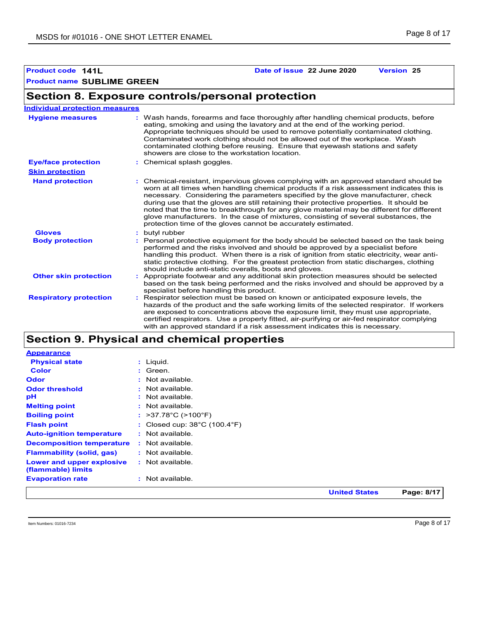### **Product code 141L Date of issue 22 June 2020 Version 25**

### **Section 8. Exposure controls/personal protection**

| <b>Individual protection measures</b> |    |                                                                                                                                                                                                                                                                                                                                                                                                                                                                                                                                                                                                                      |
|---------------------------------------|----|----------------------------------------------------------------------------------------------------------------------------------------------------------------------------------------------------------------------------------------------------------------------------------------------------------------------------------------------------------------------------------------------------------------------------------------------------------------------------------------------------------------------------------------------------------------------------------------------------------------------|
| <b>Hygiene measures</b>               |    | Wash hands, forearms and face thoroughly after handling chemical products, before<br>eating, smoking and using the lavatory and at the end of the working period.<br>Appropriate techniques should be used to remove potentially contaminated clothing.<br>Contaminated work clothing should not be allowed out of the workplace. Wash<br>contaminated clothing before reusing. Ensure that eyewash stations and safety<br>showers are close to the workstation location.                                                                                                                                            |
| <b>Eye/face protection</b>            |    | : Chemical splash goggles.                                                                                                                                                                                                                                                                                                                                                                                                                                                                                                                                                                                           |
| <b>Skin protection</b>                |    |                                                                                                                                                                                                                                                                                                                                                                                                                                                                                                                                                                                                                      |
| <b>Hand protection</b>                |    | Chemical-resistant, impervious gloves complying with an approved standard should be<br>worn at all times when handling chemical products if a risk assessment indicates this is<br>necessary. Considering the parameters specified by the glove manufacturer, check<br>during use that the gloves are still retaining their protective properties. It should be<br>noted that the time to breakthrough for any glove material may be different for different<br>glove manufacturers. In the case of mixtures, consisting of several substances, the<br>protection time of the gloves cannot be accurately estimated. |
| <b>Gloves</b>                         | ÷. | butyl rubber                                                                                                                                                                                                                                                                                                                                                                                                                                                                                                                                                                                                         |
| <b>Body protection</b>                |    | : Personal protective equipment for the body should be selected based on the task being<br>performed and the risks involved and should be approved by a specialist before<br>handling this product. When there is a risk of ignition from static electricity, wear anti-<br>static protective clothing. For the greatest protection from static discharges, clothing<br>should include anti-static overalls, boots and gloves.                                                                                                                                                                                       |
| <b>Other skin protection</b>          |    | : Appropriate footwear and any additional skin protection measures should be selected<br>based on the task being performed and the risks involved and should be approved by a<br>specialist before handling this product.                                                                                                                                                                                                                                                                                                                                                                                            |
| <b>Respiratory protection</b>         |    | Respirator selection must be based on known or anticipated exposure levels, the<br>hazards of the product and the safe working limits of the selected respirator. If workers<br>are exposed to concentrations above the exposure limit, they must use appropriate,<br>certified respirators. Use a properly fitted, air-purifying or air-fed respirator complying<br>with an approved standard if a risk assessment indicates this is necessary.                                                                                                                                                                     |

### **Section 9. Physical and chemical properties**

|                                                 |                                                   | <b>United States</b> | Page: 8/17 |
|-------------------------------------------------|---------------------------------------------------|----------------------|------------|
| <b>Evaporation rate</b>                         | : Not available.                                  |                      |            |
| Lower and upper explosive<br>(flammable) limits | $:$ Not available.                                |                      |            |
| <b>Flammability (solid, gas)</b>                | : Not available.                                  |                      |            |
| <b>Decomposition temperature</b>                | : Not available.                                  |                      |            |
| <b>Auto-ignition temperature</b>                | $:$ Not available.                                |                      |            |
| <b>Flash point</b>                              | : Closed cup: $38^{\circ}$ C (100.4 $^{\circ}$ F) |                      |            |
| <b>Boiling point</b>                            | : $>37.78^{\circ}$ C ( $>100^{\circ}$ F)          |                      |            |
| <b>Melting point</b>                            | : Not available.                                  |                      |            |
| рH                                              | : Not available.                                  |                      |            |
| <b>Odor threshold</b>                           | $:$ Not available.                                |                      |            |
| Odor                                            | : Not available.                                  |                      |            |
| <b>Color</b>                                    | $:$ Green.                                        |                      |            |
| <b>Physical state</b>                           | $:$ Liquid.                                       |                      |            |
| <b>Appearance</b>                               |                                                   |                      |            |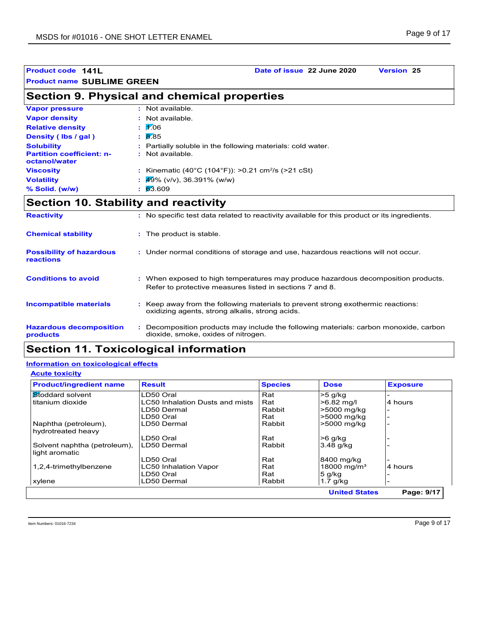### **Product code 141L Date of issue 22 June 2020 Version 25**

### **Section 9. Physical and chemical properties**

| <b>Vapor pressure</b>                             | $:$ Not available.                                             |
|---------------------------------------------------|----------------------------------------------------------------|
| <b>Vapor density</b>                              | : Not available.                                               |
| <b>Relative density</b>                           | $\mathbf{1}$ 1.06                                              |
| Density (Ibs / gal)                               | $\cdot$ 8.85                                                   |
| <b>Solubility</b>                                 | : Partially soluble in the following materials: cold water.    |
| <b>Partition coefficient: n-</b><br>octanol/water | : Not available.                                               |
| <b>Viscosity</b>                                  | : Kinematic (40°C (104°F)): >0.21 cm <sup>2</sup> /s (>21 cSt) |
| <b>Volatility</b>                                 | : $49\%$ (v/v), 36.391% (w/w)                                  |
| % Solid. (w/w)                                    | $\frac{63.609}{ }$                                             |

### **Section 10. Stability and reactivity**

| <b>Reactivity</b>                            | : No specific test data related to reactivity available for this product or its ingredients.                                                  |
|----------------------------------------------|-----------------------------------------------------------------------------------------------------------------------------------------------|
| <b>Chemical stability</b>                    | : The product is stable.                                                                                                                      |
| <b>Possibility of hazardous</b><br>reactions | : Under normal conditions of storage and use, hazardous reactions will not occur.                                                             |
| <b>Conditions to avoid</b>                   | : When exposed to high temperatures may produce hazardous decomposition products.<br>Refer to protective measures listed in sections 7 and 8. |
| <b>Incompatible materials</b>                | Keep away from the following materials to prevent strong exothermic reactions:<br>oxidizing agents, strong alkalis, strong acids.             |
| <b>Hazardous decomposition</b><br>products   | Decomposition products may include the following materials: carbon monoxide, carbon<br>dioxide, smoke, oxides of nitrogen.                    |

### **Section 11. Toxicological information**

#### **Information on toxicological effects**

**Acute toxicity**

| <b>Product/ingredient name</b> | <b>Result</b>                          | <b>Species</b> | <b>Dose</b>             | <b>Exposure</b> |
|--------------------------------|----------------------------------------|----------------|-------------------------|-----------------|
| Stoddard solvent               | LD50 Oral                              | Rat            | $>5$ g/kg               |                 |
| titanium dioxide               | <b>LC50 Inhalation Dusts and mists</b> | Rat            | >6.82 mg/l              | 4 hours         |
|                                | LD50 Dermal                            | Rabbit         | >5000 mg/kg             |                 |
|                                | LD50 Oral                              | Rat            | >5000 mg/kg             |                 |
| Naphtha (petroleum),           | LD50 Dermal                            | Rabbit         | >5000 mg/kg             |                 |
| hydrotreated heavy             |                                        |                |                         |                 |
|                                | LD50 Oral                              | Rat            | $>6$ g/kg               |                 |
| Solvent naphtha (petroleum),   | LD50 Dermal                            | Rabbit         | 3.48 g/kg               |                 |
| light aromatic                 |                                        |                |                         |                 |
|                                | LD50 Oral                              | Rat            | 8400 mg/kg              |                 |
| 1,2,4-trimethylbenzene         | <b>LC50 Inhalation Vapor</b>           | Rat            | 18000 mg/m <sup>3</sup> | 4 hours         |
|                                | LD50 Oral                              | Rat            | $5$ g/kg                |                 |
| xylene                         | LD50 Dermal                            | Rabbit         | $1.7$ g/kg              |                 |
|                                |                                        |                | <b>United States</b>    | Page: 9/17      |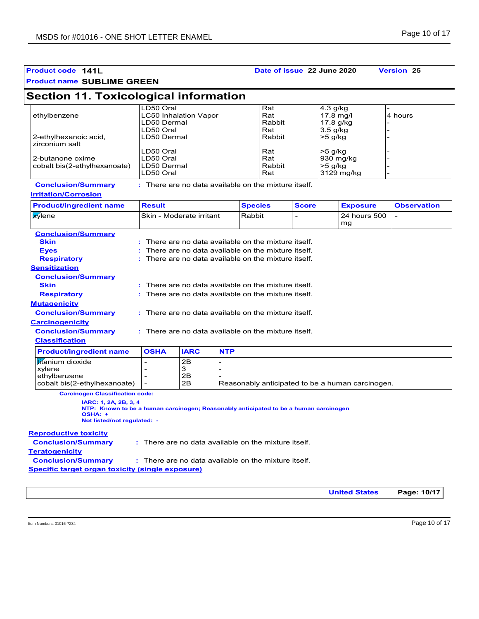| <b>Product code 141L</b>                                                                                                                                                                                                                                                                                                                                                                                                                                              |                                                    |                                                                                                                                                                                                                                                                                                                                                                                                                                    |                | Date of issue 22 June 2020  |              |                                                    |                                                  | <b>Version 25</b>  |
|-----------------------------------------------------------------------------------------------------------------------------------------------------------------------------------------------------------------------------------------------------------------------------------------------------------------------------------------------------------------------------------------------------------------------------------------------------------------------|----------------------------------------------------|------------------------------------------------------------------------------------------------------------------------------------------------------------------------------------------------------------------------------------------------------------------------------------------------------------------------------------------------------------------------------------------------------------------------------------|----------------|-----------------------------|--------------|----------------------------------------------------|--------------------------------------------------|--------------------|
| <b>Product name SUBLIME GREEN</b>                                                                                                                                                                                                                                                                                                                                                                                                                                     |                                                    |                                                                                                                                                                                                                                                                                                                                                                                                                                    |                |                             |              |                                                    |                                                  |                    |
| <b>Section 11. Toxicological information</b>                                                                                                                                                                                                                                                                                                                                                                                                                          |                                                    |                                                                                                                                                                                                                                                                                                                                                                                                                                    |                |                             |              |                                                    |                                                  |                    |
| ethylbenzene                                                                                                                                                                                                                                                                                                                                                                                                                                                          | LD50 Oral<br>LD50 Dermal<br>LD50 Oral              | <b>LC50 Inhalation Vapor</b>                                                                                                                                                                                                                                                                                                                                                                                                       |                | Rat<br>Rat<br>Rabbit<br>Rat |              | 4.3 g/kg<br>$17.8$ mg/l<br>17.8 g/kg<br>$3.5$ g/kg |                                                  | 4 hours            |
| 2-ethylhexanoic acid,<br>zirconium salt                                                                                                                                                                                                                                                                                                                                                                                                                               | LD50 Dermal                                        |                                                                                                                                                                                                                                                                                                                                                                                                                                    |                | Rabbit                      |              | $>5$ g/kg                                          |                                                  |                    |
| 2-butanone oxime<br>cobalt bis(2-ethylhexanoate)                                                                                                                                                                                                                                                                                                                                                                                                                      | LD50 Oral<br>LD50 Oral<br>LD50 Dermal<br>LD50 Oral |                                                                                                                                                                                                                                                                                                                                                                                                                                    |                | Rat<br>Rat<br>Rabbit<br>Rat |              | $>5$ g/kg<br>930 mg/kg<br>>5 g/kg                  | 3129 mg/kg                                       |                    |
| <b>Conclusion/Summary</b><br><b>Irritation/Corrosion</b>                                                                                                                                                                                                                                                                                                                                                                                                              |                                                    | : There are no data available on the mixture itself.                                                                                                                                                                                                                                                                                                                                                                               |                |                             |              |                                                    |                                                  |                    |
| <b>Product/ingredient name</b>                                                                                                                                                                                                                                                                                                                                                                                                                                        | <b>Result</b>                                      |                                                                                                                                                                                                                                                                                                                                                                                                                                    | <b>Species</b> |                             | <b>Score</b> |                                                    | <b>Exposure</b>                                  | <b>Observation</b> |
| <b>x</b> ylene                                                                                                                                                                                                                                                                                                                                                                                                                                                        |                                                    | Skin - Moderate irritant                                                                                                                                                                                                                                                                                                                                                                                                           | Rabbit         |                             |              |                                                    | 24 hours 500<br>mg                               | $\overline{a}$     |
| <b>Conclusion/Summary</b><br><b>Skin</b><br><b>Eyes</b><br><b>Respiratory</b><br><b>Sensitization</b><br><b>Conclusion/Summary</b><br><b>Skin</b><br><b>Respiratory</b><br><b>Mutagenicity</b><br><b>Conclusion/Summary</b><br><b>Carcinogenicity</b><br><b>Conclusion/Summary</b><br><b>Classification</b><br><b>Product/ingredient name</b><br>titanium dioxide<br>xylene<br>ethylbenzene<br>cobalt bis(2-ethylhexanoate)<br><b>Carcinogen Classification code:</b> | <b>OSHA</b>                                        | There are no data available on the mixture itself.<br>There are no data available on the mixture itself.<br>: There are no data available on the mixture itself.<br>There are no data available on the mixture itself.<br>There are no data available on the mixture itself.<br>: There are no data available on the mixture itself.<br>: There are no data available on the mixture itself.<br><b>IARC</b><br>2B<br>3<br>2Β<br>2Β | <b>NTP</b>     |                             |              |                                                    | Reasonably anticipated to be a human carcinogen. |                    |
| IARC: 1, 2A, 2B, 3, 4<br>NTP: Known to be a human carcinogen; Reasonably anticipated to be a human carcinogen<br>OSHA: +<br>Not listed/not regulated: -<br><b>Reproductive toxicity</b><br><b>Conclusion/Summary</b><br><b>Teratogenicity</b><br><b>Conclusion/Summary</b>                                                                                                                                                                                            |                                                    | : There are no data available on the mixture itself.<br>: There are no data available on the mixture itself.                                                                                                                                                                                                                                                                                                                       |                |                             |              |                                                    |                                                  |                    |
| Specific target organ toxicity (single exposure)                                                                                                                                                                                                                                                                                                                                                                                                                      |                                                    |                                                                                                                                                                                                                                                                                                                                                                                                                                    |                |                             |              |                                                    |                                                  |                    |
|                                                                                                                                                                                                                                                                                                                                                                                                                                                                       |                                                    |                                                                                                                                                                                                                                                                                                                                                                                                                                    |                |                             |              |                                                    | <b>United States</b>                             | Page: 10/17        |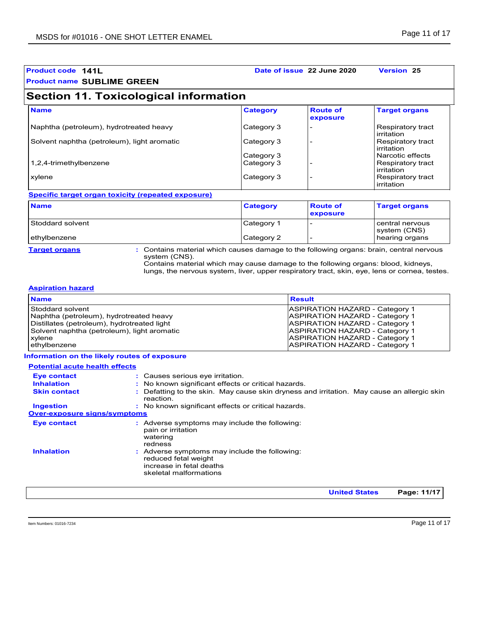| <b>Product code 141L</b><br><b>Product name SUBLIME GREEN</b> |                          | Date of issue 22 June 2020  | <b>Version 25</b>                                   |
|---------------------------------------------------------------|--------------------------|-----------------------------|-----------------------------------------------------|
| <b>Section 11. Toxicological information</b>                  |                          |                             |                                                     |
| <b>Name</b>                                                   | <b>Category</b>          | <b>Route of</b><br>exposure | <b>Target organs</b>                                |
| Naphtha (petroleum), hydrotreated heavy                       | Category 3               |                             | Respiratory tract<br>irritation                     |
| Solvent naphtha (petroleum), light aromatic                   | Category 3               |                             | Respiratory tract<br>irritation                     |
| 1,2,4-trimethylbenzene                                        | Category 3<br>Category 3 |                             | Narcotic effects<br>Respiratory tract<br>irritation |
| xylene                                                        | Category 3               |                             | Respiratory tract<br>irritation                     |
| Specific target organ toxicity (repeated exposure)            |                          |                             |                                                     |
| <b>Name</b>                                                   | <b>Category</b>          | <b>Route of</b><br>exposure | <b>Target organs</b>                                |
| Stoddard solvent                                              | Category 1               |                             | central nervous<br>system (CNS)                     |

ethylbenzene **Category 2** - hearing organs

**Target organs :** Contains material which causes damage to the following organs: brain, central nervous system (CNS).

Contains material which may cause damage to the following organs: blood, kidneys, lungs, the nervous system, liver, upper respiratory tract, skin, eye, lens or cornea, testes.

#### **Aspiration hazard**

| <b>ASPIRATION HAZARD - Category 1</b><br>Stoddard solvent<br><b>ASPIRATION HAZARD - Category 1</b><br>Naphtha (petroleum), hydrotreated heavy<br>Distillates (petroleum), hydrotreated light<br><b>ASPIRATION HAZARD - Category 1</b><br>Solvent naphtha (petroleum), light aromatic<br><b>ASPIRATION HAZARD - Category 1</b><br><b>ASPIRATION HAZARD - Category 1</b><br>xylene<br><b>ASPIRATION HAZARD - Category 1</b><br>ethylbenzene | <b>Name</b> | <b>Result</b> |
|-------------------------------------------------------------------------------------------------------------------------------------------------------------------------------------------------------------------------------------------------------------------------------------------------------------------------------------------------------------------------------------------------------------------------------------------|-------------|---------------|
|                                                                                                                                                                                                                                                                                                                                                                                                                                           |             |               |

#### **Information on the likely routes of exposure**

| <b>Potential acute health effects</b>   |                                                                                                                             |
|-----------------------------------------|-----------------------------------------------------------------------------------------------------------------------------|
| <b>Eye contact</b><br><b>Inhalation</b> | : Causes serious eye irritation.<br>: No known significant effects or critical hazards.                                     |
| <b>Skin contact</b>                     | : Defatting to the skin. May cause skin dryness and irritation. May cause an allergic skin<br>reaction.                     |
| <b>Ingestion</b>                        | : No known significant effects or critical hazards.                                                                         |
| <b>Over-exposure signs/symptoms</b>     |                                                                                                                             |
| <b>Eye contact</b>                      | : Adverse symptoms may include the following:<br>pain or irritation<br>watering<br>redness                                  |
| <b>Inhalation</b>                       | : Adverse symptoms may include the following:<br>reduced fetal weight<br>increase in fetal deaths<br>skeletal malformations |
|                                         | Page: 11/17<br><b>United States</b>                                                                                         |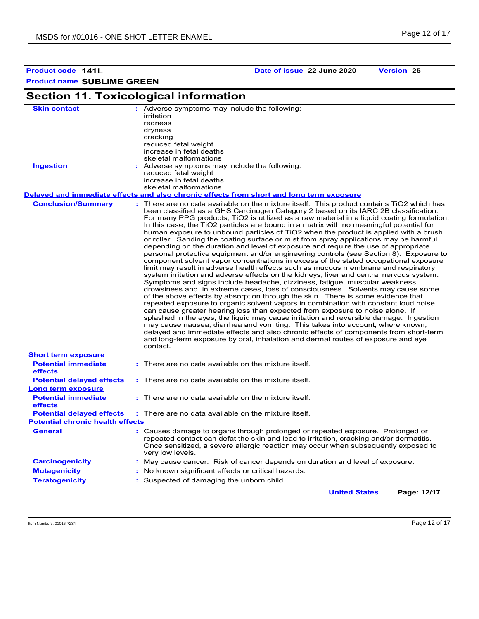**Product code 141L Date of issue 22 June 2020 Version 25**

#### **Section 11. Toxicological information Conclusion/Summary : General : Carcinogenicity : Mutagenicity : Teratogenicity : Potential chronic health effects Delayed and immediate effects and also chronic effects from short and long term exposure Potential immediate effects :** There are no data available on the mixture itself. **Short term exposure Potential delayed effects : Potential immediate effects :** There are no data available on the mixture itself. **Long term exposure Potential delayed effects : Skin contact Ingestion Adverse symptoms may include the following:** reduced fetal weight increase in fetal deaths skeletal malformations Adverse symptoms may include the following: **:** irritation redness dryness cracking reduced fetal weight increase in fetal deaths skeletal malformations May cause cancer. Risk of cancer depends on duration and level of exposure. There are no data available on the mixture itself. This product contains TiO2 which has been classified as a GHS Carcinogen Category 2 based on its IARC 2B classification. For many PPG products, TiO2 is utilized as a raw material in a liquid coating formulation. In this case, the TiO2 particles are bound in a matrix with no meaningful potential for human exposure to unbound particles of TiO2 when the product is applied with a brush or roller. Sanding the coating surface or mist from spray applications may be harmful depending on the duration and level of exposure and require the use of appropriate personal protective equipment and/or engineering controls (see Section 8). Exposure to component solvent vapor concentrations in excess of the stated occupational exposure limit may result in adverse health effects such as mucous membrane and respiratory system irritation and adverse effects on the kidneys, liver and central nervous system. Symptoms and signs include headache, dizziness, fatigue, muscular weakness, drowsiness and, in extreme cases, loss of consciousness. Solvents may cause some of the above effects by absorption through the skin. There is some evidence that repeated exposure to organic solvent vapors in combination with constant loud noise can cause greater hearing loss than expected from exposure to noise alone. If splashed in the eyes, the liquid may cause irritation and reversible damage. Ingestion may cause nausea, diarrhea and vomiting. This takes into account, where known, delayed and immediate effects and also chronic effects of components from short-term and long-term exposure by oral, inhalation and dermal routes of exposure and eye contact. Causes damage to organs through prolonged or repeated exposure. Prolonged or repeated contact can defat the skin and lead to irritation, cracking and/or dermatitis. Once sensitized, a severe allergic reaction may occur when subsequently exposed to very low levels. Suspected of damaging the unborn child. : No known significant effects or critical hazards. : There are no data available on the mixture itself. There are no data available on the mixture itself. **United States Page: 12/17**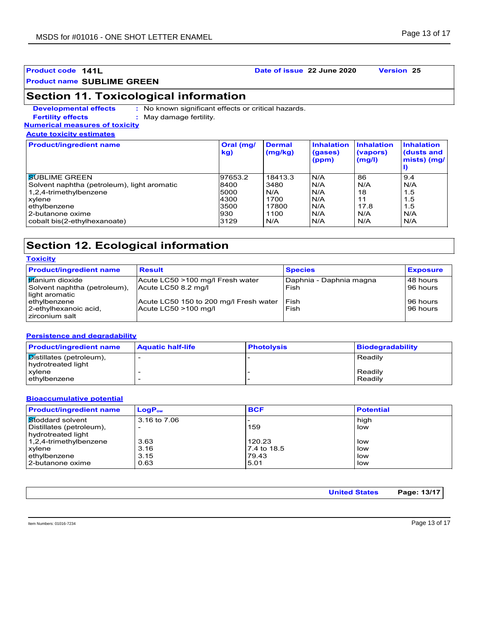### **Product code 141L Date of issue 22 June 2020 Version 25**

**Product name SUBLIME GREEN**

### **Section 11. Toxicological information**

**Developmental effects : Fertility effects :**

: No known significant effects or critical hazards. : May damage fertility.

**Numerical measures of toxicity Acute toxicity estimates**

| <b>Product/ingredient name</b>              | Oral (mg/<br>kg) | <b>Dermal</b><br>(mg/kg) | <b>Inhalation</b><br>(gases)<br>(ppm) | <b>Inhalation</b><br>(vapors)<br>(mg/l) | <b>Inhalation</b><br>(dusts and<br>mists) (mg/ |
|---------------------------------------------|------------------|--------------------------|---------------------------------------|-----------------------------------------|------------------------------------------------|
| <b>SUBLIME GREEN</b>                        | 97653.2          | 18413.3                  | N/A                                   | 86                                      | 9.4                                            |
| Solvent naphtha (petroleum), light aromatic | 8400             | 3480                     | N/A                                   | N/A                                     | N/A                                            |
| 1,2,4-trimethylbenzene                      | 5000             | N/A                      | N/A                                   | 18                                      | 1.5                                            |
| xylene                                      | 4300             | 1700                     | N/A                                   | 11                                      | 1.5                                            |
| ethylbenzene                                | 3500             | 17800                    | N/A                                   | 17.8                                    | 1.5                                            |
| 2-butanone oxime                            | 930              | 1100                     | N/A                                   | N/A                                     | N/A                                            |
| cobalt bis(2-ethylhexanoate)                | 3129             | N/A                      | N/A                                   | N/A                                     | N/A                                            |

### **Section 12. Ecological information**

| <b>Toxicity</b>                                                                    |                                                                |                                 |                          |  |
|------------------------------------------------------------------------------------|----------------------------------------------------------------|---------------------------------|--------------------------|--|
| <b>Product/ingredient name</b>                                                     | <b>Result</b>                                                  | <b>Species</b>                  | <b>Exposure</b>          |  |
| I <mark>tit</mark> anium dioxide<br>Solvent naphtha (petroleum),<br>light aromatic | Acute LC50 >100 mg/l Fresh water<br>Acute LC50 8.2 mg/l        | Daphnia - Daphnia magna<br>Fish | l 48 hours<br>l 96 hours |  |
| ethylbenzene<br>2-ethylhexanoic acid,<br>zirconium salt                            | Acute LC50 150 to 200 mg/l Fresh water<br>Acute LC50 >100 mg/l | Fish<br>Fish                    | l 96 hours<br>l 96 hours |  |

#### **Persistence and degradability**

| <b>Product/ingredient name</b>                                     | <b>Aquatic half-life</b> | <b>Photolysis</b> | <b>Biodegradability</b> |
|--------------------------------------------------------------------|--------------------------|-------------------|-------------------------|
| $\boxed{\mathbf{D}}$ istillates (petroleum),<br>hydrotreated light |                          |                   | Readily                 |
| xylene<br>ethylbenzene                                             |                          |                   | Readily<br>Readily      |

#### **Bioaccumulative potential**

| <b>Product/ingredient name</b> | $LogP_{ow}$  | <b>BCF</b>  | <b>Potential</b> |
|--------------------------------|--------------|-------------|------------------|
| Stoddard solvent               | 3.16 to 7.06 |             | high             |
| Distillates (petroleum),       |              | 159         | low              |
| hydrotreated light             |              |             |                  |
| 1,2,4-trimethylbenzene         | 3.63         | 120.23      | low              |
| xylene                         | 3.16         | 7.4 to 18.5 | low              |
| ethylbenzene                   | 3.15         | 79.43       | low              |
| l 2-butanone oxime             | 0.63         | 5.01        | low              |

| <b>United States</b> | Page: 13/17 <sup> </sup> |
|----------------------|--------------------------|
|                      |                          |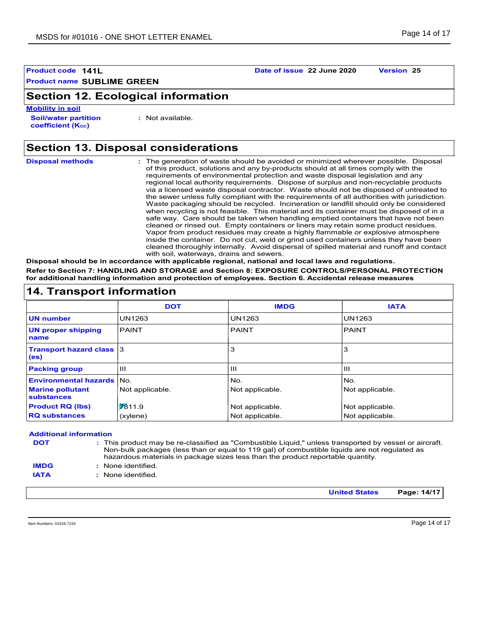### **Section 12. Ecological information**

**Soil/water partition coefficient (KOC) Mobility in soil**

**:** Not available.

## **Section 13. Disposal considerations**

| <b>Disposal methods</b> | : The generation of waste should be avoided or minimized wherever possible. Disposal<br>of this product, solutions and any by-products should at all times comply with the<br>requirements of environmental protection and waste disposal legislation and any<br>regional local authority requirements. Dispose of surplus and non-recyclable products<br>via a licensed waste disposal contractor. Waste should not be disposed of untreated to<br>the sewer unless fully compliant with the requirements of all authorities with jurisdiction.<br>Waste packaging should be recycled. Incineration or landfill should only be considered<br>when recycling is not feasible. This material and its container must be disposed of in a<br>safe way. Care should be taken when handling emptied containers that have not been<br>cleaned or rinsed out. Empty containers or liners may retain some product residues.<br>Vapor from product residues may create a highly flammable or explosive atmosphere<br>inside the container. Do not cut, weld or grind used containers unless they have been<br>cleaned thoroughly internally. Avoid dispersal of spilled material and runoff and contact |
|-------------------------|------------------------------------------------------------------------------------------------------------------------------------------------------------------------------------------------------------------------------------------------------------------------------------------------------------------------------------------------------------------------------------------------------------------------------------------------------------------------------------------------------------------------------------------------------------------------------------------------------------------------------------------------------------------------------------------------------------------------------------------------------------------------------------------------------------------------------------------------------------------------------------------------------------------------------------------------------------------------------------------------------------------------------------------------------------------------------------------------------------------------------------------------------------------------------------------------|
|                         | with soil, waterways, drains and sewers.                                                                                                                                                                                                                                                                                                                                                                                                                                                                                                                                                                                                                                                                                                                                                                                                                                                                                                                                                                                                                                                                                                                                                       |
|                         |                                                                                                                                                                                                                                                                                                                                                                                                                                                                                                                                                                                                                                                                                                                                                                                                                                                                                                                                                                                                                                                                                                                                                                                                |

**Disposal should be in accordance with applicable regional, national and local laws and regulations. Refer to Section 7: HANDLING AND STORAGE and Section 8: EXPOSURE CONTROLS/PERSONAL PROTECTION for additional handling information and protection of employees. Section 6. Accidental release measures**

| 14. Transport information                            |                 |                 |                 |  |
|------------------------------------------------------|-----------------|-----------------|-----------------|--|
|                                                      | <b>DOT</b>      | <b>IMDG</b>     | <b>IATA</b>     |  |
| <b>UN</b> number                                     | <b>UN1263</b>   | <b>UN1263</b>   | <b>UN1263</b>   |  |
| <b>UN proper shipping</b><br>name                    | <b>PAINT</b>    | <b>PAINT</b>    | <b>PAINT</b>    |  |
| <b>Transport hazard class 3</b><br>(e <sub>s</sub> ) |                 | 3               | 3               |  |
| <b>Packing group</b>                                 | Ш               | $\mathbf{H}$    | lш              |  |
| <b>Environmental hazards No.</b>                     |                 | No.             | INo.            |  |
| <b>Marine pollutant</b><br><b>substances</b>         | Not applicable. | Not applicable. | Not applicable. |  |
| <b>Product RQ (lbs)</b>                              | 7611.9          | Not applicable. | Not applicable. |  |
| <b>RQ substances</b>                                 | (xylene)        | Not applicable. | Not applicable. |  |

#### **Additional information** This product may be re-classified as "Combustible Liquid," unless transported by vessel or aircraft. **:** Non-bulk packages (less than or equal to 119 gal) of combustible liquids are not regulated as **DOT**

- **IMDG**
- hazardous materials in package sizes less than the product reportable quantity. None identified. **:**
- 
- **IATA :** None identified.

**United States Page: 14/17**

Item Numbers: 01016-7234 Page 14 of 17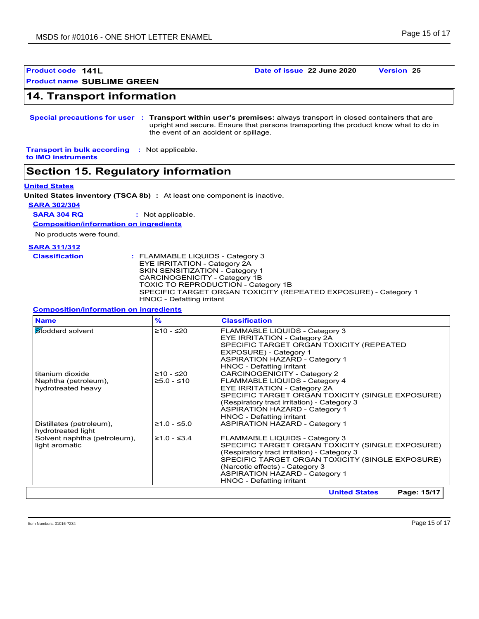**Product code 141L Date of issue 22 June 2020 Version 25**

### **14. Transport information**

**Special precautions for user Transport within user's premises:** always transport in closed containers that are **:** upright and secure. Ensure that persons transporting the product know what to do in the event of an accident or spillage.

**Transport in bulk according :** Not applicable. **to IMO instruments**

### **Section 15. Regulatory information**

#### **United States**

**United States inventory (TSCA 8b) :** At least one component is inactive.

**SARA 302/304**

**SARA 304 RQ :** Not applicable.

**Composition/information on ingredients**

No products were found.

#### **SARA 311/312**

| <b>Classification</b> | : FLAMMABLE LIQUIDS - Category 3                                |
|-----------------------|-----------------------------------------------------------------|
|                       | EYE IRRITATION - Category 2A                                    |
|                       | <b>SKIN SENSITIZATION - Category 1</b>                          |
|                       | CARCINOGENICITY - Category 1B                                   |
|                       | <b>TOXIC TO REPRODUCTION - Category 1B</b>                      |
|                       | SPECIFIC TARGET ORGAN TOXICITY (REPEATED EXPOSURE) - Category 1 |
|                       | HNOC - Defatting irritant                                       |

#### **Composition/information on ingredients**

| <b>Name</b>                                    | $\frac{9}{6}$ | <b>Classification</b>                                                                                                                                                                                      |
|------------------------------------------------|---------------|------------------------------------------------------------------------------------------------------------------------------------------------------------------------------------------------------------|
| Stoddard solvent                               | $≥10 - ≤20$   | FLAMMABLE LIQUIDS - Category 3<br>EYE IRRITATION - Category 2A<br>SPECIFIC TARGET ORGAN TOXICITY (REPEATED<br>EXPOSURE) - Category 1<br><b>ASPIRATION HAZARD - Category 1</b><br>HNOC - Defatting irritant |
| titanium dioxide                               | ≥10 - ≤20     | <b>CARCINOGENICITY - Category 2</b>                                                                                                                                                                        |
| Naphtha (petroleum),                           | $≥5.0 - ≤10$  | FLAMMABLE LIQUIDS - Category 4                                                                                                                                                                             |
| hydrotreated heavy                             |               | EYE IRRITATION - Category 2A                                                                                                                                                                               |
|                                                |               | SPECIFIC TARGET ORGAN TOXICITY (SINGLE EXPOSURE)                                                                                                                                                           |
|                                                |               | (Respiratory tract irritation) - Category 3<br><b>ASPIRATION HAZARD - Category 1</b>                                                                                                                       |
|                                                |               | HNOC - Defatting irritant                                                                                                                                                                                  |
| Distillates (petroleum),<br>hydrotreated light | $≥1.0 - ≤5.0$ | <b>ASPIRATION HAZARD - Category 1</b>                                                                                                                                                                      |
| Solvent naphtha (petroleum),                   | $≥1.0 - ≤3.4$ | FLAMMABLE LIQUIDS - Category 3                                                                                                                                                                             |
| light aromatic                                 |               | SPECIFIC TARGET ORGAN TOXICITY (SINGLE EXPOSURE)                                                                                                                                                           |
|                                                |               | (Respiratory tract irritation) - Category 3<br>SPECIFIC TARGET ORGAN TOXICITY (SINGLE EXPOSURE)                                                                                                            |
|                                                |               | (Narcotic effects) - Category 3                                                                                                                                                                            |
|                                                |               | <b>ASPIRATION HAZARD - Category 1</b>                                                                                                                                                                      |
|                                                |               | HNOC - Defatting irritant                                                                                                                                                                                  |
|                                                |               | Page: 15/17<br><b>United States</b>                                                                                                                                                                        |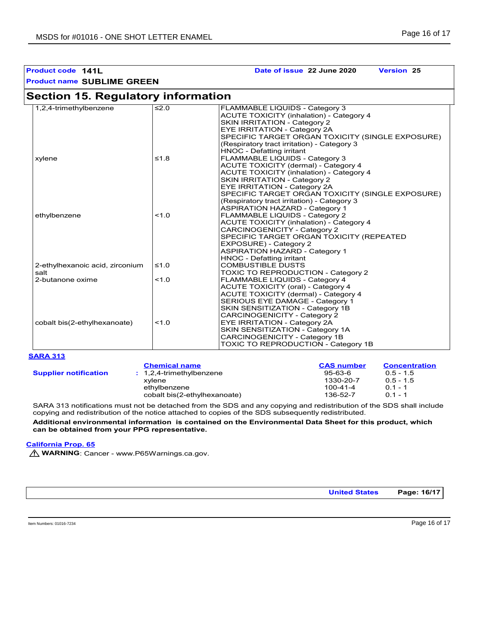**Product code 141L Date of issue 22 June 2020 Version 25**

| <b>Section 15. Regulatory information</b> |            |                                                  |
|-------------------------------------------|------------|--------------------------------------------------|
| 1,2,4-trimethylbenzene                    | $\leq 2.0$ | FLAMMABLE LIQUIDS - Category 3                   |
|                                           |            | <b>ACUTE TOXICITY (inhalation) - Category 4</b>  |
|                                           |            | <b>SKIN IRRITATION - Category 2</b>              |
|                                           |            | EYE IRRITATION - Category 2A                     |
|                                           |            | SPECIFIC TARGET ORGAN TOXICITY (SINGLE EXPOSURE) |
|                                           |            | (Respiratory tract irritation) - Category 3      |
|                                           |            | HNOC - Defatting irritant                        |
| xylene                                    | $≤1.8$     | FLAMMABLE LIQUIDS - Category 3                   |
|                                           |            | <b>ACUTE TOXICITY (dermal) - Category 4</b>      |
|                                           |            | <b>ACUTE TOXICITY (inhalation) - Category 4</b>  |
|                                           |            | <b>SKIN IRRITATION - Category 2</b>              |
|                                           |            | <b>EYE IRRITATION - Category 2A</b>              |
|                                           |            | SPECIFIC TARGET ORGAN TOXICITY (SINGLE EXPOSURE) |
|                                           |            | (Respiratory tract irritation) - Category 3      |
|                                           |            | <b>ASPIRATION HAZARD - Category 1</b>            |
| ethylbenzene                              | 1.0        | FLAMMABLE LIQUIDS - Category 2                   |
|                                           |            | <b>ACUTE TOXICITY (inhalation) - Category 4</b>  |
|                                           |            | CARCINOGENICITY - Category 2                     |
|                                           |            | SPECIFIC TARGET ORGAN TOXICITY (REPEATED         |
|                                           |            | EXPOSURE) - Category 2                           |
|                                           |            | <b>ASPIRATION HAZARD - Category 1</b>            |
|                                           |            | HNOC - Defatting irritant                        |
| 2-ethylhexanoic acid, zirconium           | $≤1.0$     | <b>COMBUSTIBLE DUSTS</b>                         |
| salt                                      |            | TOXIC TO REPRODUCTION - Category 2               |
| 2-butanone oxime                          | 1.0        | FLAMMABLE LIQUIDS - Category 4                   |
|                                           |            | <b>ACUTE TOXICITY (oral) - Category 4</b>        |
|                                           |            | ACUTE TOXICITY (dermal) - Category 4             |
|                                           |            | SERIOUS EYE DAMAGE - Category 1                  |
|                                           |            | SKIN SENSITIZATION - Category 1B                 |
|                                           |            | <b>CARCINOGENICITY - Category 2</b>              |
| cobalt bis(2-ethylhexanoate)              | 1.0        | EYE IRRITATION - Category 2A                     |
|                                           |            | SKIN SENSITIZATION - Category 1A                 |
|                                           |            | CARCINOGENICITY - Category 1B                    |
|                                           |            | TOXIC TO REPRODUCTION - Category 1B              |

#### **SARA 313**

|                              | <b>Chemical name</b>         | <b>CAS number</b> | <b>Concentration</b> |
|------------------------------|------------------------------|-------------------|----------------------|
| <b>Supplier notification</b> | $: 1,2,4$ -trimethylbenzene  | $95 - 63 - 6$     | $0.5 - 1.5$          |
|                              | xvlene                       | 1330-20-7         | $0.5 - 1.5$          |
|                              | ethvlbenzene                 | 100-41-4          | $0.1 - 1$            |
|                              | cobalt bis(2-ethylhexanoate) | 136-52-7          | $0.1 - 1$            |

SARA 313 notifications must not be detached from the SDS and any copying and redistribution of the SDS shall include copying and redistribution of the notice attached to copies of the SDS subsequently redistributed.

**Additional environmental information is contained on the Environmental Data Sheet for this product, which can be obtained from your PPG representative.**

#### **California Prop. 65**

**M** WARNING: Cancer - www.P65Warnings.ca.gov.

**United States Page: 16/17**

Item Numbers: 01016-7234 Page 16 of 17